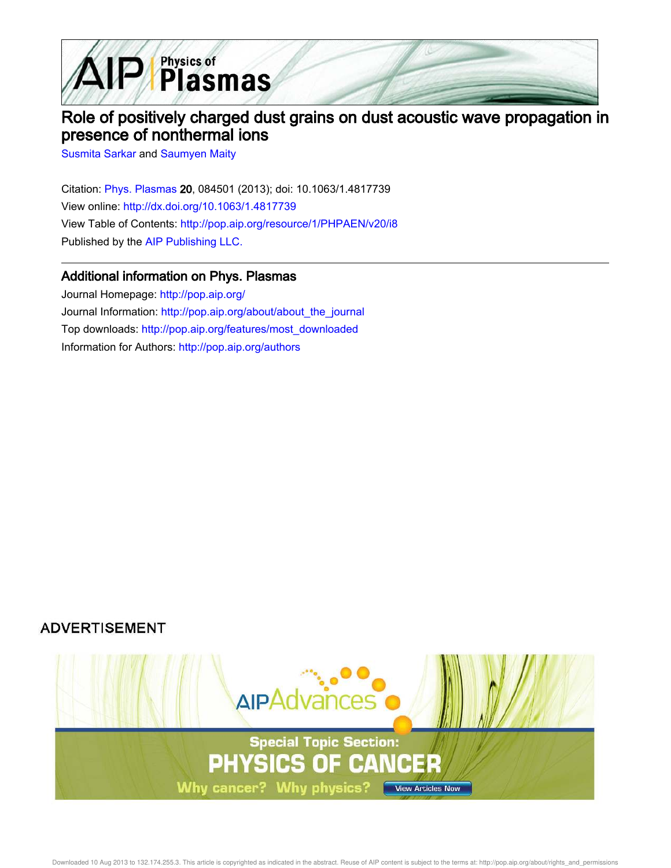

## Role of positively charged dust grains on dust acoustic wave propagation in presence of nonthermal ions

Susmita Sarkar and Saumyen Maity

Citation: Phys. Plasmas 20, 084501 (2013); doi: 10.1063/1.4817739 View online: http://dx.doi.org/10.1063/1.4817739 View Table of Contents: http://pop.aip.org/resource/1/PHPAEN/v20/i8 Published by the AIP Publishing LLC.

## Additional information on Phys. Plasmas

Journal Homepage: http://pop.aip.org/ Journal Information: http://pop.aip.org/about/about\_the\_journal Top downloads: http://pop.aip.org/features/most\_downloaded Information for Authors: http://pop.aip.org/authors

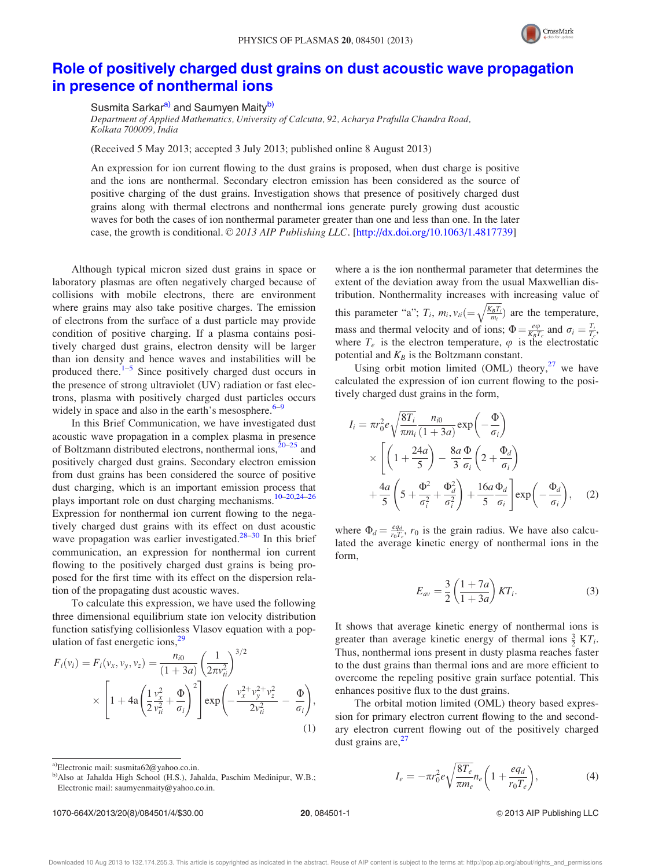

## Role of positively charged dust grains on dust acoustic wave propagation in presence of nonthermal ions

Susmita Sarkar<sup>a)</sup> and Saumyen Maity<sup>b)</sup>

Department of Applied Mathematics, University of Calcutta, 92, Acharya Prafulla Chandra Road, Kolkata 700009, India

(Received 5 May 2013; accepted 3 July 2013; published online 8 August 2013)

An expression for ion current flowing to the dust grains is proposed, when dust charge is positive and the ions are nonthermal. Secondary electron emission has been considered as the source of positive charging of the dust grains. Investigation shows that presence of positively charged dust grains along with thermal electrons and nonthermal ions generate purely growing dust acoustic waves for both the cases of ion nonthermal parameter greater than one and less than one. In the later case, the growth is conditional. © 2013 AIP Publishing LLC. [http://dx.doi.org/10.1063/1.4817739]

Although typical micron sized dust grains in space or laboratory plasmas are often negatively charged because of collisions with mobile electrons, there are environment where grains may also take positive charges. The emission of electrons from the surface of a dust particle may provide condition of positive charging. If a plasma contains positively charged dust grains, electron density will be larger than ion density and hence waves and instabilities will be produced there.<sup>1–5</sup> Since positively charged dust occurs in the presence of strong ultraviolet (UV) radiation or fast electrons, plasma with positively charged dust particles occurs widely in space and also in the earth's mesosphere. $6-9$ 

In this Brief Communication, we have investigated dust acoustic wave propagation in a complex plasma in presence of Boltzmann distributed electrons, nonthermal ions,<sup>20–25</sup> and positively charged dust grains. Secondary electron emission from dust grains has been considered the source of positive dust charging, which is an important emission process that plays important role on dust charging mechanisms.10–20,24–26 Expression for nonthermal ion current flowing to the negatively charged dust grains with its effect on dust acoustic wave propagation was earlier investigated.<sup>28–30</sup> In this brief communication, an expression for nonthermal ion current flowing to the positively charged dust grains is being proposed for the first time with its effect on the dispersion relation of the propagating dust acoustic waves.

To calculate this expression, we have used the following three dimensional equilibrium state ion velocity distribution function satisfying collisionless Vlasov equation with a population of fast energetic ions, $29$ 

$$
F_i(v_i) = F_i(v_x, v_y, v_z) = \frac{n_{i0}}{(1+3a)} \left(\frac{1}{2\pi v_{ti}^2}\right)^{3/2}
$$
  
 
$$
\times \left[1 + 4a \left(\frac{1}{2}\frac{v_x^2}{v_{ti}^2} + \frac{\Phi}{\sigma_i}\right)^2\right] \exp\left(-\frac{v_x^2 + v_y^2 + v_z^2}{2v_{ti}^2} - \frac{\Phi}{\sigma_i}\right),
$$
  
(1)

a)Electronic mail: susmita62@yahoo.co.in.

b)Also at Jahalda High School (H.S.), Jahalda, Paschim Medinipur, W.B.; Electronic mail: saumyenmaity@yahoo.co.in.

1070-664X/2013/20(8)/084501/4/\$30.00 20, 084501-1 20, 084501-1 20, 084501-1

where a is the ion nonthermal parameter that determines the extent of the deviation away from the usual Maxwellian distribution. Nonthermality increases with increasing value of this parameter "a";  $T_i$ ,  $m_i$ ,  $v_{ti} = \sqrt{\frac{K_B T_i}{m_i}}$  are the temperature, mass and thermal velocity and of ions;  $\Phi = \frac{e\varphi}{K_B T_e}$  and  $\sigma_i = \frac{T_i}{T_e}$ , where  $T_e$  is the electron temperature,  $\varphi$  is the electrostatic potential and  $K_B$  is the Boltzmann constant.

Using orbit motion limited (OML) theory, $27$  we have calculated the expression of ion current flowing to the positively charged dust grains in the form,

$$
I_{i} = \pi r_{0}^{2} e \sqrt{\frac{8T_{i}}{\pi m_{i}} \frac{n_{i0}}{(1+3a)}} \exp\left(-\frac{\Phi}{\sigma_{i}}\right)
$$
  
 
$$
\times \left[ \left(1 + \frac{24a}{5}\right) - \frac{8a}{3} \frac{\Phi}{\sigma_{i}} \left(2 + \frac{\Phi_{d}}{\sigma_{i}}\right) + \frac{4a}{5} \left(5 + \frac{\Phi^{2}}{\sigma_{i}^{2}} + \frac{\Phi_{d}^{2}}{\sigma_{i}^{2}}\right) + \frac{16a}{5} \frac{\Phi_{d}}{\sigma_{i}} \right] \exp\left(-\frac{\Phi_{d}}{\sigma_{i}}\right), \quad (2)
$$

where  $\Phi_d = \frac{eq_d}{r_0T_e}$ ,  $r_0$  is the grain radius. We have also calculated the average kinetic energy of nonthermal ions in the form,

$$
E_{av} = \frac{3}{2} \left( \frac{1+7a}{1+3a} \right) KT_i.
$$
 (3)

It shows that average kinetic energy of nonthermal ions is greater than average kinetic energy of thermal ions  $\frac{3}{2}$  KT<sub>i</sub>. Thus, nonthermal ions present in dusty plasma reaches faster to the dust grains than thermal ions and are more efficient to overcome the repeling positive grain surface potential. This enhances positive flux to the dust grains.

The orbital motion limited (OML) theory based expression for primary electron current flowing to the and secondary electron current flowing out of the positively charged dust grains are,  $27$ 

$$
I_e = -\pi r_0^2 e \sqrt{\frac{8T_e}{\pi m_e}} n_e \left( 1 + \frac{eq_d}{r_0 T_e} \right),\tag{4}
$$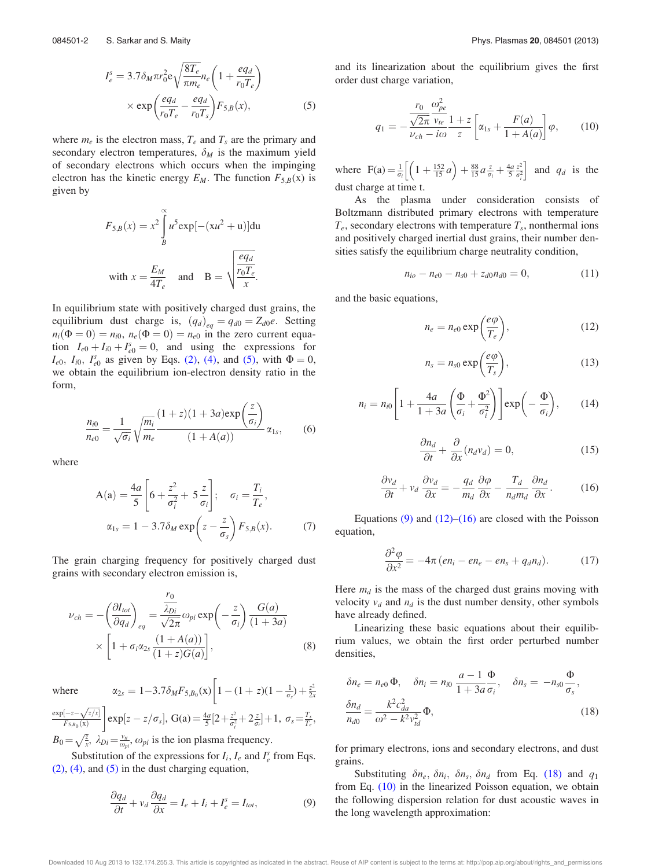$$
I_e^s = 3.7 \delta_M \pi r_0^2 e \sqrt{\frac{8T_e}{\pi m_e}} n_e \left( 1 + \frac{eq_d}{r_0 T_e} \right)
$$
  
× exp $\left( \frac{eq_d}{r_0 T_e} - \frac{eq_d}{r_0 T_s} \right) F_{5,B}(x)$ , (5)

where  $m_e$  is the electron mass,  $T_e$  and  $T_s$  are the primary and secondary electron temperatures,  $\delta_M$  is the maximum yield of secondary electrons which occurs when the impinging electron has the kinetic energy  $E_M$ . The function  $F_{5,B}(x)$  is given by

$$
F_{5,B}(x) = x^2 \int_B^{\infty} u^5 \exp[-(xu^2 + u)] du
$$
  
with  $x = \frac{E_M}{4T_e}$  and  $B = \sqrt{\frac{eq_d}{r_0 T_e}}$ .

In equilibrium state with positively charged dust grains, the equilibrium dust charge is,  $(q_d)_{eq} = q_{d0} = Z_{d0}e$ . Setting  $n_i(\Phi = 0) = n_{i0}, n_e(\Phi = 0) = n_{e0}$  in the zero current equation  $I_{e0} + I_{i0} + I_{e0}^s = 0$ , and using the expressions for  $I_{e0}$ ,  $I_{i0}$ ,  $I_{e0}^s$  as given by Eqs. (2), (4), and (5), with  $\Phi = 0$ , we obtain the equilibrium ion-electron density ratio in the form,

$$
\frac{n_{i0}}{n_{e0}} = \frac{1}{\sqrt{\sigma_i}} \sqrt{\frac{m_i}{m_e}} \frac{(1+z)(1+3a) \exp\left(\frac{z}{\sigma_i}\right)}{(1+A(a))} \alpha_{1s},
$$
(6)

where

$$
A(a) = \frac{4a}{5} \left[ 6 + \frac{z^2}{\sigma_i^2} + 5\frac{z}{\sigma_i} \right]; \quad \sigma_i = \frac{T_i}{T_e},
$$
  

$$
\alpha_{1s} = 1 - 3.7\delta_M \exp\left(z - \frac{z}{\sigma_s}\right) F_{5,B}(x).
$$
 (7)

The grain charging frequency for positively charged dust grains with secondary electron emission is,

$$
\nu_{ch} = -\left(\frac{\partial I_{tot}}{\partial q_d}\right)_{eq} = \frac{\frac{r_0}{\lambda_{Di}}}{\sqrt{2\pi}} \omega_{pi} \exp\left(-\frac{z}{\sigma_i}\right) \frac{G(a)}{(1+3a)}
$$

$$
\times \left[1 + \sigma_i \alpha_{2s} \frac{(1+A(a))}{(1+z)G(a)}\right],
$$
(8)

 $\exp[-z-\sqrt{z/x}]$ 

where  $\alpha_{2s} = 1 - 3.7 \delta_M F_{5,B_0}(x) \left[ 1 - (1+z)(1 - \frac{1}{\sigma_s}) + \frac{z^2}{2s} \right]$  $\exp[z - z/\sigma_s], G(a) = \frac{4a}{5}[2 + \frac{z^2}{\sigma_s^2}]$ 

 $F_{5,B_0}(\mathbf{x})$  $\frac{z^2}{\sigma_i^2} + 2\frac{z}{\sigma_i} + 1$ ,  $\sigma_s = \frac{T_s}{T_e}$ ,  $B_0 = \sqrt{\frac{z}{x}}, \lambda_{Di} = \frac{v_{ii}}{\omega_{pi}}, \omega_{pi}$  is the ion plasma frequency.

Substitution of the expressions for  $I_i$ ,  $I_e$  and  $I_e^s$  from Eqs.  $(2)$ ,  $(4)$ , and  $(5)$  in the dust charging equation,

$$
\frac{\partial q_d}{\partial t} + v_d \frac{\partial q_d}{\partial x} = I_e + I_i + I_e^s = I_{tot},\tag{9}
$$

and its linearization about the equilibrium gives the first order dust charge variation,

$$
q_1 = -\frac{\frac{r_0}{\sqrt{2\pi}} \frac{\omega_{pe}^2}{v_{te}}}{\frac{v_{te}}{\omega_{ch} - i\omega} \frac{1+z}{z}} \left[ \alpha_{1s} + \frac{F(a)}{1 + A(a)} \right] \varphi, \qquad (10)
$$

where  $F(a) = \frac{1}{\sigma_i} \left[ \left( 1 + \frac{152}{15} a \right) + \frac{88}{15} a \frac{z}{\sigma_i} + \frac{4a}{5} \frac{z^2}{\sigma_i^2} \right]$  $\left[ \left( 1 + \frac{152}{15} a \right) + \frac{88}{15} a \frac{z}{\sigma_i} + \frac{4a}{5} \frac{z^2}{\sigma_i^2} \right]$  and  $q_d$  is the dust charge at time t.

As the plasma under consideration consists of Boltzmann distributed primary electrons with temperature  $T_e$ , secondary electrons with temperature  $T_s$ , nonthermal ions and positively charged inertial dust grains, their number densities satisfy the equilibrium charge neutrality condition,

$$
n_{io} - n_{e0} - n_{s0} + z_{d0}n_{d0} = 0, \qquad (11)
$$

and the basic equations,

$$
n_e = n_{e0} \exp\left(\frac{e\varphi}{T_e}\right),\tag{12}
$$

$$
n_s = n_{s0} \exp\left(\frac{e\varphi}{T_s}\right),\tag{13}
$$

$$
n_i = n_{i0} \left[ 1 + \frac{4a}{1 + 3a} \left( \frac{\Phi}{\sigma_i} + \frac{\Phi^2}{\sigma_i^2} \right) \right] \exp\left( - \frac{\Phi}{\sigma_i} \right), \quad (14)
$$

$$
\frac{\partial n_d}{\partial t} + \frac{\partial}{\partial x}(n_d v_d) = 0, \tag{15}
$$

$$
\frac{\partial v_d}{\partial t} + v_d \frac{\partial v_d}{\partial x} = -\frac{q_d}{m_d} \frac{\partial \varphi}{\partial x} - \frac{T_d}{n_d m_d} \frac{\partial n_d}{\partial x}.
$$
 (16)

Equations  $(9)$  and  $(12)$ – $(16)$  are closed with the Poisson equation,

$$
\frac{\partial^2 \varphi}{\partial x^2} = -4\pi (en_i - en_e - en_s + q_d n_d). \tag{17}
$$

Here  $m_d$  is the mass of the charged dust grains moving with velocity  $v_d$  and  $n_d$  is the dust number density, other symbols have already defined.

Linearizing these basic equations about their equilibrium values, we obtain the first order perturbed number densities,

$$
\delta n_e = n_{e0} \Phi, \quad \delta n_i = n_{i0} \frac{a - 1}{1 + 3a} \frac{\Phi}{\sigma_i}, \quad \delta n_s = -n_{s0} \frac{\Phi}{\sigma_s},
$$

$$
\frac{\delta n_d}{n_{d0}} = \frac{k^2 c_{da}^2}{\omega^2 - k^2 v_{td}^2} \Phi,
$$
(18)

for primary electrons, ions and secondary electrons, and dust grains.

Substituting  $\delta n_e$ ,  $\delta n_i$ ,  $\delta n_s$ ,  $\delta n_d$  from Eq. (18) and  $q_1$ from Eq. (10) in the linearized Poisson equation, we obtain the following dispersion relation for dust acoustic waves in the long wavelength approximation:

Downloaded 10 Aug 2013 to 132.174.255.3. This article is copyrighted as indicated in the abstract. Reuse of AIP content is subject to the terms at: http://pop.aip.org/about/rights\_and\_permissions

 $2x$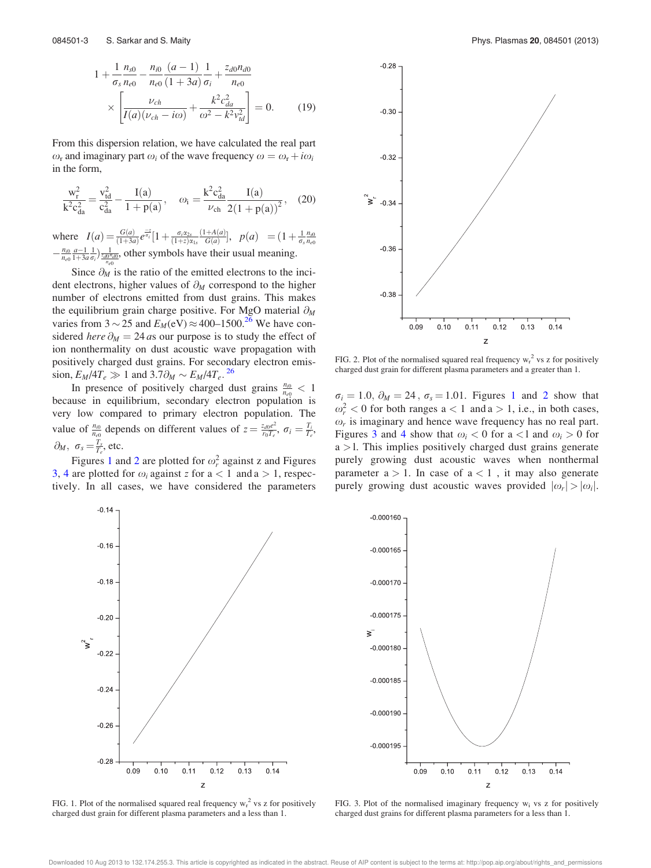$$
1 + \frac{1}{\sigma_s} \frac{n_{s0}}{n_{e0}} - \frac{n_{i0}}{n_{e0}} \frac{(a-1)}{(1+3a)} \frac{1}{\sigma_i} + \frac{z_{d0} n_{d0}}{n_{e0}} \times \left[ \frac{\nu_{ch}}{I(a)(\nu_{ch} - i\omega)} + \frac{k^2 c_{da}^2}{\omega^2 - k^2 v_{td}^2} \right] = 0.
$$
 (19)

From this dispersion relation, we have calculated the real part  $\omega_r$  and imaginary part  $\omega_i$  of the wave frequency  $\omega = \omega_r + i\omega_i$ in the form,

$$
\frac{w_r^2}{k^2 c_{da}^2} = \frac{v_{td}^2}{c_{da}^2} - \frac{I(a)}{1 + p(a)}, \quad \omega_i = \frac{k^2 c_{da}^2}{\nu_{ch}} \frac{I(a)}{2(1 + p(a))^2}, \quad (20)
$$

where  $I(a) = \frac{G(a)}{(1+3a)} e^{\frac{-z}{\sigma_i}} [1 + \frac{\sigma_i \alpha_{2s}}{(1+z)\alpha_{1s}}]$  $(1+A(a)$  $\frac{+A(a)}{G(a)}$ ,  $p(a) = (1 + \frac{1}{\sigma_s} \frac{n_{s0}}{n_{e0}})$  $-\frac{n_{i0}}{n_{e0}}\frac{a-1}{1+3a\sigma_i}\frac{1}{\sigma_i}\frac{1}{\sigma_i(0^n\sigma_i(0))}$ , other symbols have their usual meaning.

Since  $\partial_M$  is the ratio of the emitted electrons to the incident electrons, higher values of  $\partial_M$  correspond to the higher number of electrons emitted from dust grains. This makes the equilibrium grain charge positive. For MgO material  $\partial_M$ varies from  $3 \sim 25$  and  $E_M(eV) \approx 400-1500$ .<sup>26</sup> We have considered here  $\partial_M = 24$  as our purpose is to study the effect of ion nonthermality on dust acoustic wave propagation with positively charged dust grains. For secondary electron emission,  $E_M/4T_e \gg 1$  and  $3.7\partial_M \sim E_M/4T_e$ . <sup>26</sup>

In presence of positively charged dust grains  $\frac{n_{i0}}{n_{e0}} < 1$ because in equilibrium, secondary electron population is very low compared to primary electron population. The value of  $\frac{n_{i0}}{n_{e0}}$  depends on different values of  $z = \frac{z_{d0}e^2}{r_0T_e}$  $\frac{\sigma_{d0}e^2}{r_0T_e},\ \sigma_i=\frac{T_i}{T_e},$  $\partial_M$ ,  $\sigma_s = \frac{T_s}{T_e}$ , etc.

Figures 1 and 2 are plotted for  $\omega_r^2$  against z and Figures 3, 4 are plotted for  $\omega_i$  against z for  $a < 1$  and  $a > 1$ , respectively. In all cases, we have considered the parameters



FIG. 1. Plot of the normalised squared real frequency  $w_r^2$  vs z for positively charged dust grain for different plasma parameters and a less than 1.



FIG. 2. Plot of the normalised squared real frequency  $w_r^2$  vs z for positively charged dust grain for different plasma parameters and a greater than 1.

 $\sigma_i = 1.0$ ,  $\partial_M = 24$ ,  $\sigma_s = 1.01$ . Figures 1 and 2 show that  $\omega_r^2$  < 0 for both ranges a < 1 and a > 1, i.e., in both cases,  $\omega_r$  is imaginary and hence wave frequency has no real part. Figures 3 and 4 show that  $\omega_i$  < 0 for a < l and  $\omega_i$  > 0 for  $a > 1$ . This implies positively charged dust grains generate purely growing dust acoustic waves when nonthermal parameter  $a > 1$ . In case of  $a < 1$ , it may also generate purely growing dust acoustic waves provided  $|\omega_r| > |\omega_i|$ .



FIG. 3. Plot of the normalised imaginary frequency  $w_i$  vs z for positively charged dust grains for different plasma parameters for a less than 1.